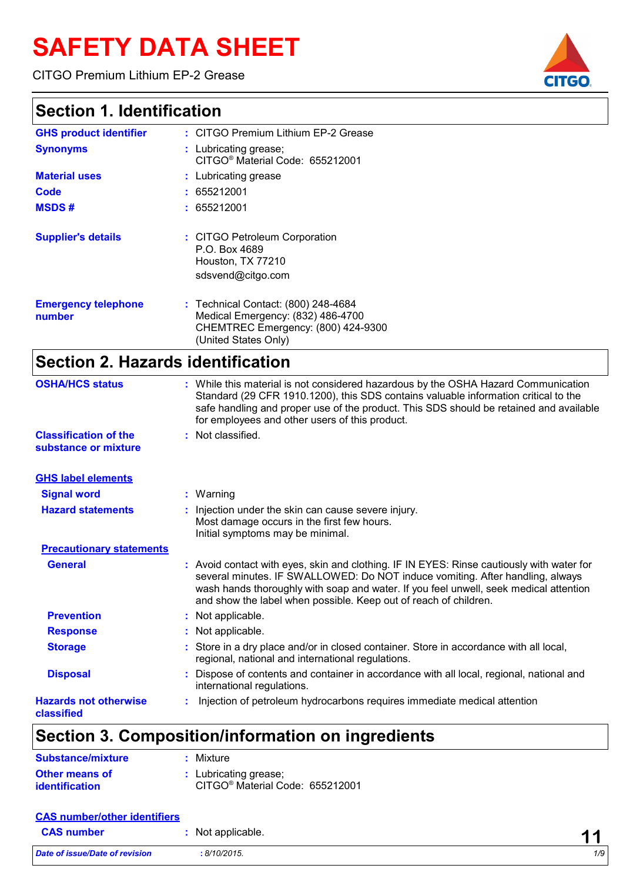# **SAFETY DATA SHEET**

CITGO Premium Lithium EP-2 Grease

#### **Section 1. Identification**

| <b>GHS product identifier</b>        | : CITGO Premium Lithium EP-2 Grease                                                                                                    |
|--------------------------------------|----------------------------------------------------------------------------------------------------------------------------------------|
| <b>Synonyms</b>                      | : Lubricating grease;<br>CITGO <sup>®</sup> Material Code: 655212001                                                                   |
| <b>Material uses</b>                 | : Lubricating grease                                                                                                                   |
| Code                                 | : 655212001                                                                                                                            |
| <b>MSDS#</b>                         | : 655212001                                                                                                                            |
| <b>Supplier's details</b>            | : CITGO Petroleum Corporation<br>P.O. Box 4689<br>Houston, TX 77210<br>sdsvend@citgo.com                                               |
| <b>Emergency telephone</b><br>number | : Technical Contact: (800) 248-4684<br>Medical Emergency: (832) 486-4700<br>CHEMTREC Emergency: (800) 424-9300<br>(United States Only) |

# **Section 2. Hazards identification**

| <b>OSHA/HCS status</b>                               | : While this material is not considered hazardous by the OSHA Hazard Communication<br>Standard (29 CFR 1910.1200), this SDS contains valuable information critical to the<br>safe handling and proper use of the product. This SDS should be retained and available<br>for employees and other users of this product.                   |
|------------------------------------------------------|-----------------------------------------------------------------------------------------------------------------------------------------------------------------------------------------------------------------------------------------------------------------------------------------------------------------------------------------|
| <b>Classification of the</b><br>substance or mixture | : Not classified.                                                                                                                                                                                                                                                                                                                       |
| <b>GHS label elements</b>                            |                                                                                                                                                                                                                                                                                                                                         |
| <b>Signal word</b>                                   | $:$ Warning                                                                                                                                                                                                                                                                                                                             |
| <b>Hazard statements</b>                             | : Injection under the skin can cause severe injury.<br>Most damage occurs in the first few hours.<br>Initial symptoms may be minimal.                                                                                                                                                                                                   |
| <b>Precautionary statements</b>                      |                                                                                                                                                                                                                                                                                                                                         |
| <b>General</b>                                       | : Avoid contact with eyes, skin and clothing. IF IN EYES: Rinse cautiously with water for<br>several minutes. IF SWALLOWED: Do NOT induce vomiting. After handling, always<br>wash hands thoroughly with soap and water. If you feel unwell, seek medical attention<br>and show the label when possible. Keep out of reach of children. |
| <b>Prevention</b>                                    | : Not applicable.                                                                                                                                                                                                                                                                                                                       |
| <b>Response</b>                                      | : Not applicable.                                                                                                                                                                                                                                                                                                                       |
| <b>Storage</b>                                       | Store in a dry place and/or in closed container. Store in accordance with all local,<br>regional, national and international regulations.                                                                                                                                                                                               |
| <b>Disposal</b>                                      | Dispose of contents and container in accordance with all local, regional, national and<br>international regulations.                                                                                                                                                                                                                    |
| <b>Hazards not otherwise</b><br>classified           | Injection of petroleum hydrocarbons requires immediate medical attention                                                                                                                                                                                                                                                                |

# **Section 3. Composition/information on ingredients**

| <b>Substance/mixture</b> | : Mixture                                   |
|--------------------------|---------------------------------------------|
| Other means of           | : Lubricating grease;                       |
| identification           | CITGO <sup>®</sup> Material Code: 655212001 |

| <b>CAS number/other identifiers</b> |                 |            |
|-------------------------------------|-----------------|------------|
| <b>CAS number</b>                   | Not applicable. | <b>A</b> 4 |
| Date of issue/Date of revision      | : 8/10/2015.    | 1/9        |

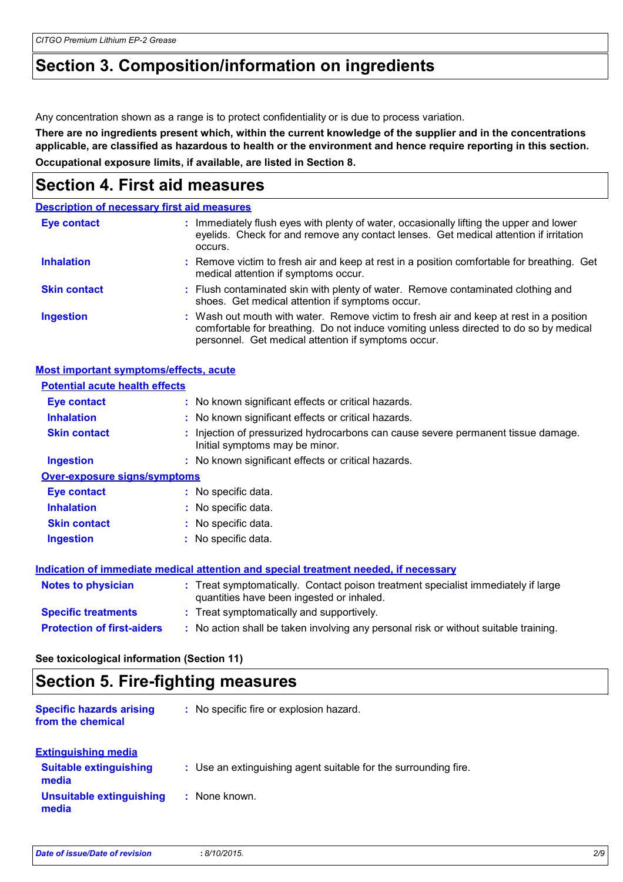# **Section 3. Composition/information on ingredients**

Any concentration shown as a range is to protect confidentiality or is due to process variation.

**There are no ingredients present which, within the current knowledge of the supplier and in the concentrations applicable, are classified as hazardous to health or the environment and hence require reporting in this section. Occupational exposure limits, if available, are listed in Section 8.**

#### **Section 4. First aid measures**

|                     | <b>Description of necessary first aid measures</b>                                                                                                                                                                                     |
|---------------------|----------------------------------------------------------------------------------------------------------------------------------------------------------------------------------------------------------------------------------------|
| <b>Eye contact</b>  | Immediately flush eyes with plenty of water, occasionally lifting the upper and lower<br>eyelids. Check for and remove any contact lenses. Get medical attention if irritation<br>occurs.                                              |
| <b>Inhalation</b>   | : Remove victim to fresh air and keep at rest in a position comfortable for breathing. Get<br>medical attention if symptoms occur.                                                                                                     |
| <b>Skin contact</b> | : Flush contaminated skin with plenty of water. Remove contaminated clothing and<br>shoes. Get medical attention if symptoms occur.                                                                                                    |
| <b>Ingestion</b>    | : Wash out mouth with water. Remove victim to fresh air and keep at rest in a position<br>comfortable for breathing. Do not induce vomiting unless directed to do so by medical<br>personnel. Get medical attention if symptoms occur. |

| <b>Most important symptoms/effects, acute</b> |                                                                                                                                |
|-----------------------------------------------|--------------------------------------------------------------------------------------------------------------------------------|
| <b>Potential acute health effects</b>         |                                                                                                                                |
| <b>Eye contact</b>                            | : No known significant effects or critical hazards.                                                                            |
| <b>Inhalation</b>                             | : No known significant effects or critical hazards.                                                                            |
| <b>Skin contact</b>                           | : Injection of pressurized hydrocarbons can cause severe permanent tissue damage.<br>Initial symptoms may be minor.            |
| <b>Ingestion</b>                              | : No known significant effects or critical hazards.                                                                            |
| <b>Over-exposure signs/symptoms</b>           |                                                                                                                                |
| Eye contact                                   | : No specific data.                                                                                                            |
| <b>Inhalation</b>                             | : No specific data.                                                                                                            |
| <b>Skin contact</b>                           | : No specific data.                                                                                                            |
| <b>Ingestion</b>                              | : No specific data.                                                                                                            |
|                                               | Indication of immediate medical attention and special treatment needed, if necessary                                           |
| <b>Notes to physician</b>                     | : Treat symptomatically. Contact poison treatment specialist immediately if large<br>quantities have been ingested or inhaled. |
| <b>Specific treatments</b>                    | : Treat symptomatically and supportively.                                                                                      |
| <b>Protection of first-aiders</b>             | : No action shall be taken involving any personal risk or without suitable training.                                           |

**See toxicological information (Section 11)**

#### **Section 5. Fire-fighting measures**

| <b>Specific hazards arising</b><br>from the chemical | : No specific fire or explosion hazard.                         |
|------------------------------------------------------|-----------------------------------------------------------------|
| <b>Extinguishing media</b>                           |                                                                 |
| <b>Suitable extinguishing</b><br>media               | : Use an extinguishing agent suitable for the surrounding fire. |
| <b>Unsuitable extinguishing</b><br>media             | None known.                                                     |
|                                                      |                                                                 |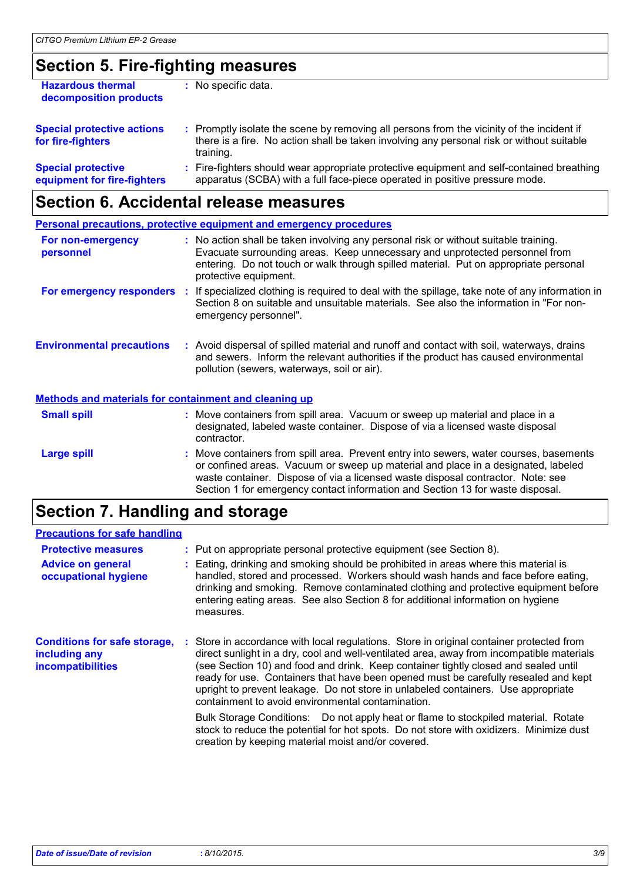# **Section 5. Fire-fighting measures**

| <b>Hazardous thermal</b><br>decomposition products       | : No specific data.                                                                                                                                                                                 |  |
|----------------------------------------------------------|-----------------------------------------------------------------------------------------------------------------------------------------------------------------------------------------------------|--|
| <b>Special protective actions</b><br>for fire-fighters   | : Promptly isolate the scene by removing all persons from the vicinity of the incident if<br>there is a fire. No action shall be taken involving any personal risk or without suitable<br>training. |  |
| <b>Special protective</b><br>equipment for fire-fighters | : Fire-fighters should wear appropriate protective equipment and self-contained breathing<br>apparatus (SCBA) with a full face-piece operated in positive pressure mode.                            |  |

# **Section 6. Accidental release measures**

|                                                              | <b>Personal precautions, protective equipment and emergency procedures</b>                                                                                                                                                                                                                                                                       |
|--------------------------------------------------------------|--------------------------------------------------------------------------------------------------------------------------------------------------------------------------------------------------------------------------------------------------------------------------------------------------------------------------------------------------|
| For non-emergency<br>personnel                               | : No action shall be taken involving any personal risk or without suitable training.<br>Evacuate surrounding areas. Keep unnecessary and unprotected personnel from<br>entering. Do not touch or walk through spilled material. Put on appropriate personal<br>protective equipment.                                                             |
|                                                              | For emergency responders : If specialized clothing is required to deal with the spillage, take note of any information in<br>Section 8 on suitable and unsuitable materials. See also the information in "For non-<br>emergency personnel".                                                                                                      |
| <b>Environmental precautions</b>                             | : Avoid dispersal of spilled material and runoff and contact with soil, waterways, drains<br>and sewers. Inform the relevant authorities if the product has caused environmental<br>pollution (sewers, waterways, soil or air).                                                                                                                  |
| <b>Methods and materials for containment and cleaning up</b> |                                                                                                                                                                                                                                                                                                                                                  |
| <b>Small spill</b>                                           | : Move containers from spill area. Vacuum or sweep up material and place in a<br>designated, labeled waste container. Dispose of via a licensed waste disposal<br>contractor.                                                                                                                                                                    |
| <b>Large spill</b>                                           | : Move containers from spill area. Prevent entry into sewers, water courses, basements<br>or confined areas. Vacuum or sweep up material and place in a designated, labeled<br>waste container. Dispose of via a licensed waste disposal contractor. Note: see<br>Section 1 for emergency contact information and Section 13 for waste disposal. |

# **Section 7. Handling and storage**

| <b>Precautions for safe handling</b>                                             |                                                                                                                                                                                                                                                                                                                                                                                                                                                                                                                                                                                                                                                                                                                                                      |
|----------------------------------------------------------------------------------|------------------------------------------------------------------------------------------------------------------------------------------------------------------------------------------------------------------------------------------------------------------------------------------------------------------------------------------------------------------------------------------------------------------------------------------------------------------------------------------------------------------------------------------------------------------------------------------------------------------------------------------------------------------------------------------------------------------------------------------------------|
| <b>Protective measures</b>                                                       | : Put on appropriate personal protective equipment (see Section 8).                                                                                                                                                                                                                                                                                                                                                                                                                                                                                                                                                                                                                                                                                  |
| <b>Advice on general</b><br>occupational hygiene                                 | : Eating, drinking and smoking should be prohibited in areas where this material is<br>handled, stored and processed. Workers should wash hands and face before eating,<br>drinking and smoking. Remove contaminated clothing and protective equipment before<br>entering eating areas. See also Section 8 for additional information on hygiene<br>measures.                                                                                                                                                                                                                                                                                                                                                                                        |
| <b>Conditions for safe storage,</b><br>including any<br><b>incompatibilities</b> | : Store in accordance with local regulations. Store in original container protected from<br>direct sunlight in a dry, cool and well-ventilated area, away from incompatible materials<br>(see Section 10) and food and drink. Keep container tightly closed and sealed until<br>ready for use. Containers that have been opened must be carefully resealed and kept<br>upright to prevent leakage. Do not store in unlabeled containers. Use appropriate<br>containment to avoid environmental contamination.<br>Bulk Storage Conditions: Do not apply heat or flame to stockpiled material. Rotate<br>stock to reduce the potential for hot spots. Do not store with oxidizers. Minimize dust<br>creation by keeping material moist and/or covered. |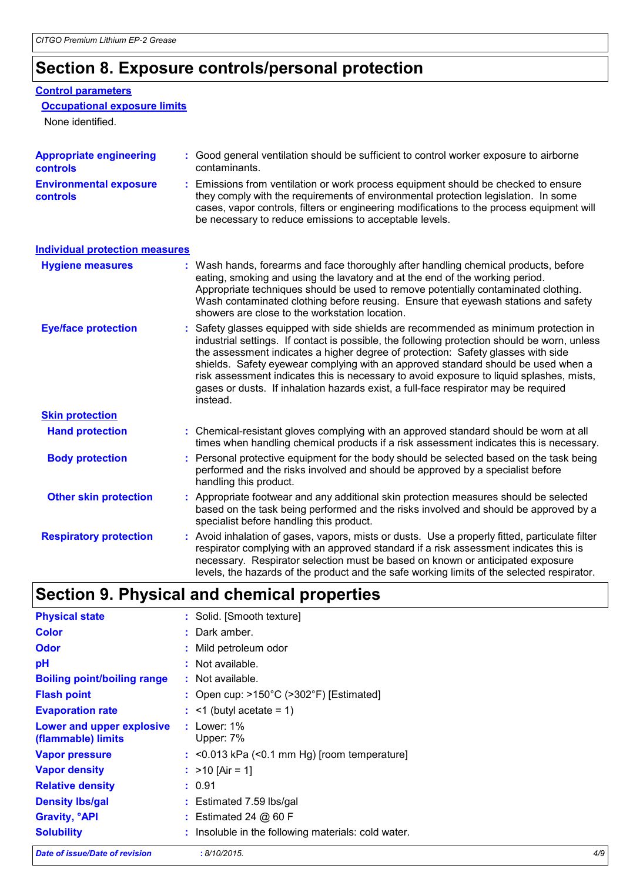# **Section 8. Exposure controls/personal protection**

#### **Control parameters**

#### **Occupational exposure limits**

None identified.

| <b>Appropriate engineering</b><br><b>controls</b> | : Good general ventilation should be sufficient to control worker exposure to airborne<br>contaminants.                                                                                                                                                                                                                                                                                                                                                                                                                                                      |
|---------------------------------------------------|--------------------------------------------------------------------------------------------------------------------------------------------------------------------------------------------------------------------------------------------------------------------------------------------------------------------------------------------------------------------------------------------------------------------------------------------------------------------------------------------------------------------------------------------------------------|
| <b>Environmental exposure</b><br>controls         | : Emissions from ventilation or work process equipment should be checked to ensure<br>they comply with the requirements of environmental protection legislation. In some<br>cases, vapor controls, filters or engineering modifications to the process equipment will<br>be necessary to reduce emissions to acceptable levels.                                                                                                                                                                                                                              |
| <b>Individual protection measures</b>             |                                                                                                                                                                                                                                                                                                                                                                                                                                                                                                                                                              |
| <b>Hygiene measures</b>                           | : Wash hands, forearms and face thoroughly after handling chemical products, before<br>eating, smoking and using the lavatory and at the end of the working period.<br>Appropriate techniques should be used to remove potentially contaminated clothing.<br>Wash contaminated clothing before reusing. Ensure that eyewash stations and safety<br>showers are close to the workstation location.                                                                                                                                                            |
| <b>Eye/face protection</b>                        | : Safety glasses equipped with side shields are recommended as minimum protection in<br>industrial settings. If contact is possible, the following protection should be worn, unless<br>the assessment indicates a higher degree of protection: Safety glasses with side<br>shields. Safety eyewear complying with an approved standard should be used when a<br>risk assessment indicates this is necessary to avoid exposure to liquid splashes, mists,<br>gases or dusts. If inhalation hazards exist, a full-face respirator may be required<br>instead. |
| <b>Skin protection</b>                            |                                                                                                                                                                                                                                                                                                                                                                                                                                                                                                                                                              |
| <b>Hand protection</b>                            | : Chemical-resistant gloves complying with an approved standard should be worn at all<br>times when handling chemical products if a risk assessment indicates this is necessary.                                                                                                                                                                                                                                                                                                                                                                             |
| <b>Body protection</b>                            | : Personal protective equipment for the body should be selected based on the task being<br>performed and the risks involved and should be approved by a specialist before<br>handling this product.                                                                                                                                                                                                                                                                                                                                                          |
| <b>Other skin protection</b>                      | : Appropriate footwear and any additional skin protection measures should be selected<br>based on the task being performed and the risks involved and should be approved by a<br>specialist before handling this product.                                                                                                                                                                                                                                                                                                                                    |
| <b>Respiratory protection</b>                     | : Avoid inhalation of gases, vapors, mists or dusts. Use a properly fitted, particulate filter<br>respirator complying with an approved standard if a risk assessment indicates this is<br>necessary. Respirator selection must be based on known or anticipated exposure<br>levels, the hazards of the product and the safe working limits of the selected respirator.                                                                                                                                                                                      |

# **Section 9. Physical and chemical properties**

| <b>Physical state</b>                           | : Solid. [Smooth texture]                                    |
|-------------------------------------------------|--------------------------------------------------------------|
| <b>Color</b>                                    | : Dark amber.                                                |
| Odor                                            | : Mild petroleum odor                                        |
| рH                                              | : Not available.                                             |
| <b>Boiling point/boiling range</b>              | : Not available.                                             |
| <b>Flash point</b>                              | : Open cup: $>150^{\circ}$ C ( $>302^{\circ}$ F) [Estimated] |
| <b>Evaporation rate</b>                         | $:$ <1 (butyl acetate = 1)                                   |
| Lower and upper explosive<br>(flammable) limits | : Lower: $1\%$<br>Upper: 7%                                  |
| <b>Vapor pressure</b>                           | $:$ <0.013 kPa (<0.1 mm Hg) [room temperature]               |
| <b>Vapor density</b>                            | : $>10$ [Air = 1]                                            |
| <b>Relative density</b>                         | : 0.91                                                       |
| <b>Density Ibs/gal</b>                          | : Estimated 7.59 lbs/gal                                     |
| <b>Gravity, °API</b>                            | : Estimated 24 $@$ 60 F                                      |
| <b>Solubility</b>                               | : Insoluble in the following materials: cold water.          |

*Date of issue/Date of revision* **:** *8/10/2015. 4/9*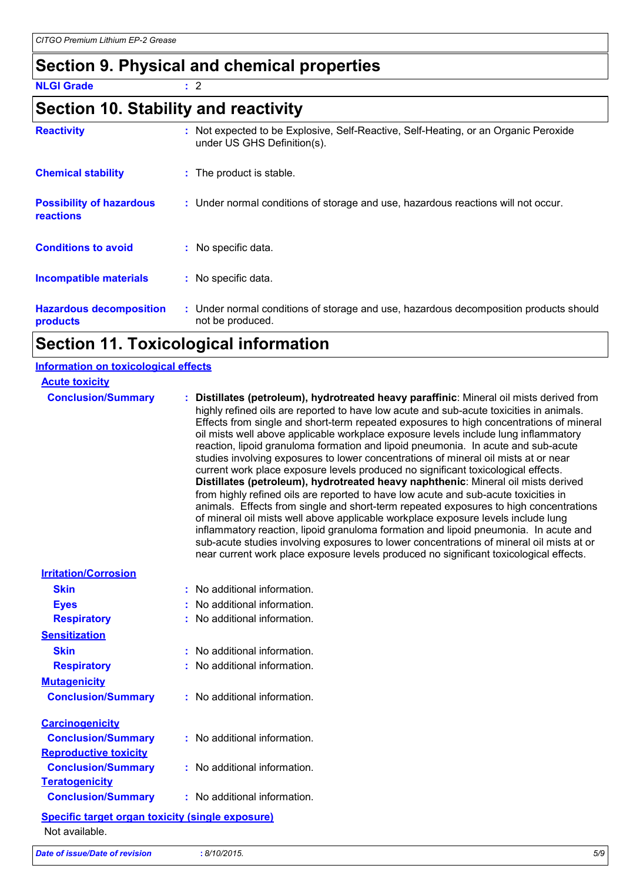# **Section 9. Physical and chemical properties**

**NLGI Grade :** 2

# **Section 10. Stability and reactivity**

| <b>Reactivity</b>                            | Not expected to be Explosive, Self-Reactive, Self-Heating, or an Organic Peroxide<br>under US GHS Definition(s). |
|----------------------------------------------|------------------------------------------------------------------------------------------------------------------|
| <b>Chemical stability</b>                    | : The product is stable.                                                                                         |
| <b>Possibility of hazardous</b><br>reactions | : Under normal conditions of storage and use, hazardous reactions will not occur.                                |
| <b>Conditions to avoid</b>                   | : No specific data.                                                                                              |
| <b>Incompatible materials</b>                | : No specific data.                                                                                              |
| <b>Hazardous decomposition</b><br>products   | : Under normal conditions of storage and use, hazardous decomposition products should<br>not be produced.        |

# **Section 11. Toxicological information**

| <b>Information on toxicological effects</b>             |                                                                                                                                                                                                                                                                                                                                                                                                                                                                                                                                                                                                                                                                                                                                                                                                                                                                                                                                                                                                                                                                                                                                                                                                                                                                                |
|---------------------------------------------------------|--------------------------------------------------------------------------------------------------------------------------------------------------------------------------------------------------------------------------------------------------------------------------------------------------------------------------------------------------------------------------------------------------------------------------------------------------------------------------------------------------------------------------------------------------------------------------------------------------------------------------------------------------------------------------------------------------------------------------------------------------------------------------------------------------------------------------------------------------------------------------------------------------------------------------------------------------------------------------------------------------------------------------------------------------------------------------------------------------------------------------------------------------------------------------------------------------------------------------------------------------------------------------------|
| <b>Acute toxicity</b><br><b>Conclusion/Summary</b>      | : Distillates (petroleum), hydrotreated heavy paraffinic: Mineral oil mists derived from<br>highly refined oils are reported to have low acute and sub-acute toxicities in animals.<br>Effects from single and short-term repeated exposures to high concentrations of mineral<br>oil mists well above applicable workplace exposure levels include lung inflammatory<br>reaction, lipoid granuloma formation and lipoid pneumonia. In acute and sub-acute<br>studies involving exposures to lower concentrations of mineral oil mists at or near<br>current work place exposure levels produced no significant toxicological effects.<br>Distillates (petroleum), hydrotreated heavy naphthenic: Mineral oil mists derived<br>from highly refined oils are reported to have low acute and sub-acute toxicities in<br>animals. Effects from single and short-term repeated exposures to high concentrations<br>of mineral oil mists well above applicable workplace exposure levels include lung<br>inflammatory reaction, lipoid granuloma formation and lipoid pneumonia. In acute and<br>sub-acute studies involving exposures to lower concentrations of mineral oil mists at or<br>near current work place exposure levels produced no significant toxicological effects. |
| <b>Irritation/Corrosion</b>                             |                                                                                                                                                                                                                                                                                                                                                                                                                                                                                                                                                                                                                                                                                                                                                                                                                                                                                                                                                                                                                                                                                                                                                                                                                                                                                |
| <b>Skin</b>                                             | : No additional information.                                                                                                                                                                                                                                                                                                                                                                                                                                                                                                                                                                                                                                                                                                                                                                                                                                                                                                                                                                                                                                                                                                                                                                                                                                                   |
| <b>Eyes</b>                                             | : No additional information.                                                                                                                                                                                                                                                                                                                                                                                                                                                                                                                                                                                                                                                                                                                                                                                                                                                                                                                                                                                                                                                                                                                                                                                                                                                   |
| <b>Respiratory</b>                                      | : No additional information.                                                                                                                                                                                                                                                                                                                                                                                                                                                                                                                                                                                                                                                                                                                                                                                                                                                                                                                                                                                                                                                                                                                                                                                                                                                   |
| <b>Sensitization</b>                                    |                                                                                                                                                                                                                                                                                                                                                                                                                                                                                                                                                                                                                                                                                                                                                                                                                                                                                                                                                                                                                                                                                                                                                                                                                                                                                |
| <b>Skin</b>                                             | : No additional information.                                                                                                                                                                                                                                                                                                                                                                                                                                                                                                                                                                                                                                                                                                                                                                                                                                                                                                                                                                                                                                                                                                                                                                                                                                                   |
| <b>Respiratory</b>                                      | : No additional information.                                                                                                                                                                                                                                                                                                                                                                                                                                                                                                                                                                                                                                                                                                                                                                                                                                                                                                                                                                                                                                                                                                                                                                                                                                                   |
| <b>Mutagenicity</b>                                     |                                                                                                                                                                                                                                                                                                                                                                                                                                                                                                                                                                                                                                                                                                                                                                                                                                                                                                                                                                                                                                                                                                                                                                                                                                                                                |
| <b>Conclusion/Summary</b>                               | : No additional information.                                                                                                                                                                                                                                                                                                                                                                                                                                                                                                                                                                                                                                                                                                                                                                                                                                                                                                                                                                                                                                                                                                                                                                                                                                                   |
| <b>Carcinogenicity</b>                                  |                                                                                                                                                                                                                                                                                                                                                                                                                                                                                                                                                                                                                                                                                                                                                                                                                                                                                                                                                                                                                                                                                                                                                                                                                                                                                |
| <b>Conclusion/Summary</b>                               | : No additional information.                                                                                                                                                                                                                                                                                                                                                                                                                                                                                                                                                                                                                                                                                                                                                                                                                                                                                                                                                                                                                                                                                                                                                                                                                                                   |
| <b>Reproductive toxicity</b>                            |                                                                                                                                                                                                                                                                                                                                                                                                                                                                                                                                                                                                                                                                                                                                                                                                                                                                                                                                                                                                                                                                                                                                                                                                                                                                                |
| <b>Conclusion/Summary</b>                               | : No additional information.                                                                                                                                                                                                                                                                                                                                                                                                                                                                                                                                                                                                                                                                                                                                                                                                                                                                                                                                                                                                                                                                                                                                                                                                                                                   |
| <b>Teratogenicity</b>                                   |                                                                                                                                                                                                                                                                                                                                                                                                                                                                                                                                                                                                                                                                                                                                                                                                                                                                                                                                                                                                                                                                                                                                                                                                                                                                                |
| <b>Conclusion/Summary</b>                               | : No additional information.                                                                                                                                                                                                                                                                                                                                                                                                                                                                                                                                                                                                                                                                                                                                                                                                                                                                                                                                                                                                                                                                                                                                                                                                                                                   |
| <b>Specific target organ toxicity (single exposure)</b> |                                                                                                                                                                                                                                                                                                                                                                                                                                                                                                                                                                                                                                                                                                                                                                                                                                                                                                                                                                                                                                                                                                                                                                                                                                                                                |
| Not available.                                          |                                                                                                                                                                                                                                                                                                                                                                                                                                                                                                                                                                                                                                                                                                                                                                                                                                                                                                                                                                                                                                                                                                                                                                                                                                                                                |
| Date of issue/Date of revision                          | 5/9<br>:8/10/2015.                                                                                                                                                                                                                                                                                                                                                                                                                                                                                                                                                                                                                                                                                                                                                                                                                                                                                                                                                                                                                                                                                                                                                                                                                                                             |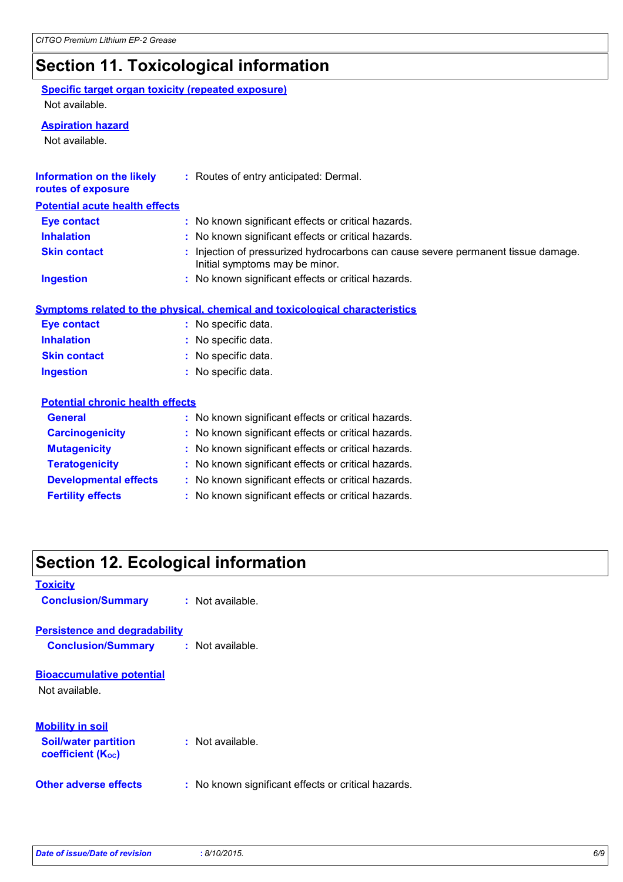# **Section 11. Toxicological information**

#### **Specific target organ toxicity (repeated exposure)** Not available.

#### **Aspiration hazard**

Not available.

| Information on the likely<br>routes of exposure | : Routes of entry anticipated: Dermal.                                                                              |
|-------------------------------------------------|---------------------------------------------------------------------------------------------------------------------|
| <b>Potential acute health effects</b>           |                                                                                                                     |
| <b>Eye contact</b>                              | : No known significant effects or critical hazards.                                                                 |
| <b>Inhalation</b>                               | : No known significant effects or critical hazards.                                                                 |
| <b>Skin contact</b>                             | : Injection of pressurized hydrocarbons can cause severe permanent tissue damage.<br>Initial symptoms may be minor. |
| <b>Ingestion</b>                                | : No known significant effects or critical hazards.                                                                 |
|                                                 | Symptoms related to the physical, chemical and toxicological characteristics                                        |
| <b>Eye contact</b>                              | : No specific data.                                                                                                 |
| <b>Inhalation</b>                               | : No specific data.                                                                                                 |
| <b>Skin contact</b>                             | : No specific data.                                                                                                 |
| <b>Ingestion</b>                                | : No specific data.                                                                                                 |
| <b>Potential chronic health effects</b>         |                                                                                                                     |
| <b>General</b>                                  | : No known significant effects or critical hazards.                                                                 |
| <b>Carcinogenicity</b>                          | : No known significant effects or critical hazards.                                                                 |
| <b>Mutagenicity</b>                             | : No known significant effects or critical hazards.                                                                 |
| <b>Teratogenicity</b>                           | : No known significant effects or critical hazards.                                                                 |
| <b>Developmental effects</b>                    | : No known significant effects or critical hazards.                                                                 |
| <b>Fertility effects</b>                        | : No known significant effects or critical hazards.                                                                 |

# **Section 12. Ecological information**

| <b>Toxicity</b>                                         |                                                     |
|---------------------------------------------------------|-----------------------------------------------------|
| <b>Conclusion/Summary</b>                               | $:$ Not available.                                  |
| <b>Persistence and degradability</b>                    |                                                     |
| <b>Conclusion/Summary</b>                               | : Not available.                                    |
| <b>Bioaccumulative potential</b>                        |                                                     |
| Not available.                                          |                                                     |
| <b>Mobility in soil</b>                                 |                                                     |
| <b>Soil/water partition</b><br><b>coefficient (Koc)</b> | : Not available.                                    |
| Other adverse effects                                   | : No known significant effects or critical hazards. |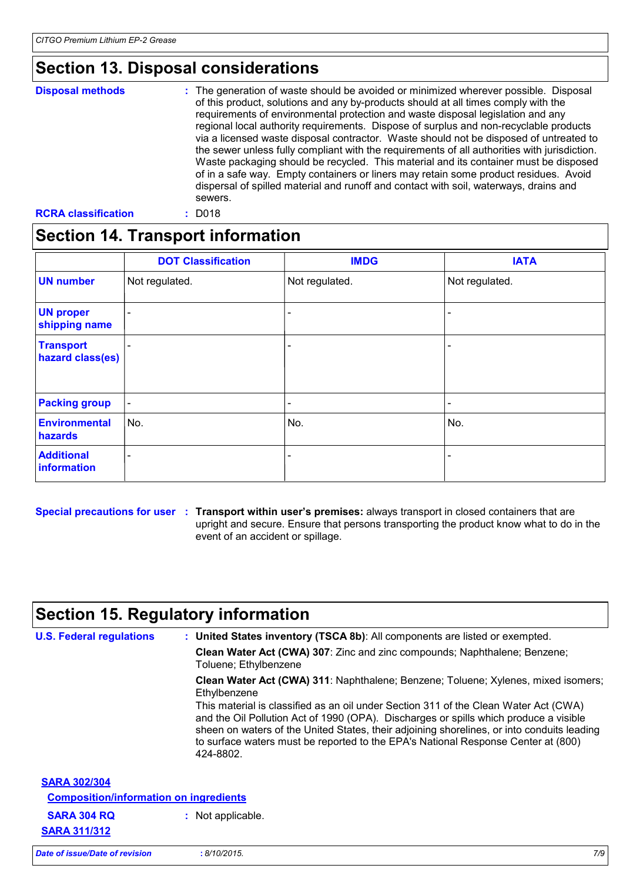# **Section 13. Disposal considerations**

| <b>Disposal methods</b> | : The generation of waste should be avoided or minimized wherever possible. Disposal<br>of this product, solutions and any by-products should at all times comply with the<br>requirements of environmental protection and waste disposal legislation and any<br>regional local authority requirements. Dispose of surplus and non-recyclable products<br>via a licensed waste disposal contractor. Waste should not be disposed of untreated to<br>the sewer unless fully compliant with the requirements of all authorities with jurisdiction.<br>Waste packaging should be recycled. This material and its container must be disposed<br>of in a safe way. Empty containers or liners may retain some product residues. Avoid<br>dispersal of spilled material and runoff and contact with soil, waterways, drains and<br>sewers. |
|-------------------------|--------------------------------------------------------------------------------------------------------------------------------------------------------------------------------------------------------------------------------------------------------------------------------------------------------------------------------------------------------------------------------------------------------------------------------------------------------------------------------------------------------------------------------------------------------------------------------------------------------------------------------------------------------------------------------------------------------------------------------------------------------------------------------------------------------------------------------------|
|                         |                                                                                                                                                                                                                                                                                                                                                                                                                                                                                                                                                                                                                                                                                                                                                                                                                                      |

**RCRA classification :** D018

#### **Section 14. Transport information**

|                                      | <b>DOT Classification</b> | <b>IMDG</b>    | <b>IATA</b>              |
|--------------------------------------|---------------------------|----------------|--------------------------|
| <b>UN number</b>                     | Not regulated.            | Not regulated. | Not regulated.           |
| <b>UN proper</b><br>shipping name    | $\overline{\phantom{a}}$  | -              | $\blacksquare$           |
| <b>Transport</b><br>hazard class(es) | $\blacksquare$            |                | $\overline{\phantom{0}}$ |
| <b>Packing group</b>                 | $\blacksquare$            |                | $\overline{\phantom{a}}$ |
| <b>Environmental</b><br>hazards      | No.                       | No.            | No.                      |
| <b>Additional</b><br>information     | $\overline{\phantom{a}}$  |                | $\overline{\phantom{0}}$ |

**Special precautions for user Transport within user's premises:** always transport in closed containers that are **:** upright and secure. Ensure that persons transporting the product know what to do in the event of an accident or spillage.

#### **Section 15. Regulatory information**

| <b>U.S. Federal regulations</b>               | : United States inventory (TSCA 8b): All components are listed or exempted.                                                                                                                                                                                                                                                                                                   |  |  |  |
|-----------------------------------------------|-------------------------------------------------------------------------------------------------------------------------------------------------------------------------------------------------------------------------------------------------------------------------------------------------------------------------------------------------------------------------------|--|--|--|
|                                               | Clean Water Act (CWA) 307: Zinc and zinc compounds; Naphthalene; Benzene;<br>Toluene; Ethylbenzene                                                                                                                                                                                                                                                                            |  |  |  |
|                                               | Clean Water Act (CWA) 311: Naphthalene; Benzene; Toluene; Xylenes, mixed isomers;<br>Ethylbenzene                                                                                                                                                                                                                                                                             |  |  |  |
|                                               | This material is classified as an oil under Section 311 of the Clean Water Act (CWA)<br>and the Oil Pollution Act of 1990 (OPA). Discharges or spills which produce a visible<br>sheen on waters of the United States, their adjoining shorelines, or into conduits leading<br>to surface waters must be reported to the EPA's National Response Center at (800)<br>424-8802. |  |  |  |
| <b>SARA 302/304</b>                           |                                                                                                                                                                                                                                                                                                                                                                               |  |  |  |
| <b>Composition/information on ingredients</b> |                                                                                                                                                                                                                                                                                                                                                                               |  |  |  |
| <b>SARA 304 RQ</b>                            | : Not applicable.                                                                                                                                                                                                                                                                                                                                                             |  |  |  |
| <b>SARA 311/312</b>                           |                                                                                                                                                                                                                                                                                                                                                                               |  |  |  |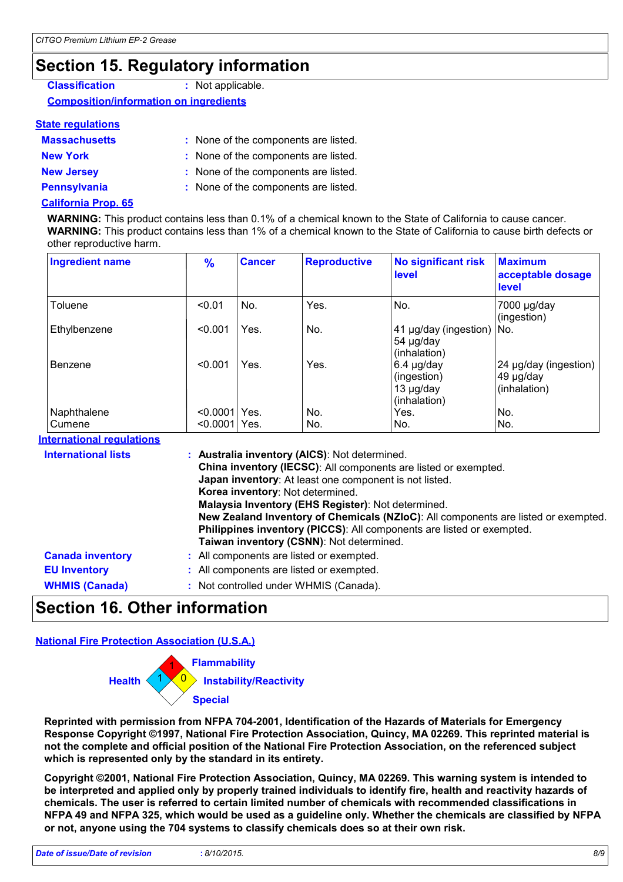### **Section 15. Regulatory information**

| <b>Classification</b>                         | : Not applicable. |
|-----------------------------------------------|-------------------|
| <b>Composition/information on ingredients</b> |                   |

#### **State regulations**

| <b>Massachusetts</b> | : None of the components are listed. |
|----------------------|--------------------------------------|
| <b>New York</b>      | : None of the components are listed. |
| <b>New Jersey</b>    | : None of the components are listed. |
| <b>Pennsylvania</b>  | : None of the components are listed. |
|                      |                                      |

#### **California Prop. 65**

**WARNING:** This product contains less than 0.1% of a chemical known to the State of California to cause cancer. **WARNING:** This product contains less than 1% of a chemical known to the State of California to cause birth defects or other reproductive harm.

| <b>Ingredient name</b>           | $\frac{9}{6}$ | <b>Cancer</b>                    | <b>Reproductive</b>                                                                                                                                                                                       | <b>No significant risk</b><br>level                                                                                                      | <b>Maximum</b><br>acceptable dosage<br>level                                       |
|----------------------------------|---------------|----------------------------------|-----------------------------------------------------------------------------------------------------------------------------------------------------------------------------------------------------------|------------------------------------------------------------------------------------------------------------------------------------------|------------------------------------------------------------------------------------|
| Toluene                          | < 0.01        | No.                              | Yes.                                                                                                                                                                                                      | No.                                                                                                                                      | 7000 µg/day<br>(ingestion)                                                         |
| Ethylbenzene                     | < 0.001       | Yes.                             | No.                                                                                                                                                                                                       | 41 µg/day (ingestion)<br>54 µg/day<br>(inhalation)                                                                                       | No.                                                                                |
| Benzene                          | < 0.001       | Yes.                             | Yes.                                                                                                                                                                                                      | $6.4$ µg/day<br>(ingestion)<br>13 µg/day<br>(inhalation)                                                                                 | 24 µg/day (ingestion)<br>49 µg/day<br>(inhalation)                                 |
| Naphthalene                      | <0.0001 Yes.  |                                  | No.                                                                                                                                                                                                       | Yes.                                                                                                                                     | No.                                                                                |
| Cumene                           | <0.0001 Yes.  |                                  | No.                                                                                                                                                                                                       | No.                                                                                                                                      | No.                                                                                |
| <b>International requlations</b> |               |                                  |                                                                                                                                                                                                           |                                                                                                                                          |                                                                                    |
| <b>International lists</b>       |               | Korea inventory: Not determined. | : Australia inventory (AICS): Not determined.<br>Japan inventory: At least one component is not listed.<br>Malaysia Inventory (EHS Register): Not determined.<br>Taiwan inventory (CSNN): Not determined. | China inventory (IECSC): All components are listed or exempted.<br>Philippines inventory (PICCS): All components are listed or exempted. | New Zealand Inventory of Chemicals (NZIoC): All components are listed or exempted. |
| <b>Canada inventory</b>          |               |                                  | : All components are listed or exempted.                                                                                                                                                                  |                                                                                                                                          |                                                                                    |
| <b>EU Inventory</b>              |               |                                  | : All components are listed or exempted.                                                                                                                                                                  |                                                                                                                                          |                                                                                    |
| <b>WHMIS (Canada)</b>            |               |                                  | : Not controlled under WHMIS (Canada).                                                                                                                                                                    |                                                                                                                                          |                                                                                    |

#### **Section 16. Other information**

#### **National Fire Protection Association (U.S.A.)**



**Reprinted with permission from NFPA 704-2001, Identification of the Hazards of Materials for Emergency Response Copyright ©1997, National Fire Protection Association, Quincy, MA 02269. This reprinted material is not the complete and official position of the National Fire Protection Association, on the referenced subject which is represented only by the standard in its entirety.**

**Copyright ©2001, National Fire Protection Association, Quincy, MA 02269. This warning system is intended to be interpreted and applied only by properly trained individuals to identify fire, health and reactivity hazards of chemicals. The user is referred to certain limited number of chemicals with recommended classifications in NFPA 49 and NFPA 325, which would be used as a guideline only. Whether the chemicals are classified by NFPA or not, anyone using the 704 systems to classify chemicals does so at their own risk.**